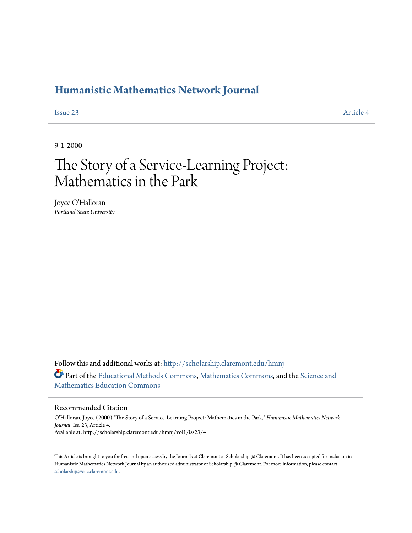### **[Humanistic Mathematics Network Journal](http://scholarship.claremont.edu/hmnj?utm_source=scholarship.claremont.edu%2Fhmnj%2Fvol1%2Fiss23%2F4&utm_medium=PDF&utm_campaign=PDFCoverPages)**

**[Issue 23](http://scholarship.claremont.edu/hmnj/vol1/iss23?utm_source=scholarship.claremont.edu%2Fhmnj%2Fvol1%2Fiss23%2F4&utm_medium=PDF&utm_campaign=PDFCoverPages)** [Article 4](http://scholarship.claremont.edu/hmnj/vol1/iss23/4?utm_source=scholarship.claremont.edu%2Fhmnj%2Fvol1%2Fiss23%2F4&utm_medium=PDF&utm_campaign=PDFCoverPages)

9-1-2000

# The Story of a Service-Learning Project: Mathematics in the Park

Joyce O'Halloran *Portland State University*

Follow this and additional works at: [http://scholarship.claremont.edu/hmnj](http://scholarship.claremont.edu/hmnj?utm_source=scholarship.claremont.edu%2Fhmnj%2Fvol1%2Fiss23%2F4&utm_medium=PDF&utm_campaign=PDFCoverPages) Part of the [Educational Methods Commons,](http://network.bepress.com/hgg/discipline/1227?utm_source=scholarship.claremont.edu%2Fhmnj%2Fvol1%2Fiss23%2F4&utm_medium=PDF&utm_campaign=PDFCoverPages) [Mathematics Commons,](http://network.bepress.com/hgg/discipline/174?utm_source=scholarship.claremont.edu%2Fhmnj%2Fvol1%2Fiss23%2F4&utm_medium=PDF&utm_campaign=PDFCoverPages) and the [Science and](http://network.bepress.com/hgg/discipline/800?utm_source=scholarship.claremont.edu%2Fhmnj%2Fvol1%2Fiss23%2F4&utm_medium=PDF&utm_campaign=PDFCoverPages) [Mathematics Education Commons](http://network.bepress.com/hgg/discipline/800?utm_source=scholarship.claremont.edu%2Fhmnj%2Fvol1%2Fiss23%2F4&utm_medium=PDF&utm_campaign=PDFCoverPages)

#### Recommended Citation

O'Halloran, Joyce (2000) "The Story of a Service-Learning Project: Mathematics in the Park," *Humanistic Mathematics Network Journal*: Iss. 23, Article 4. Available at: http://scholarship.claremont.edu/hmnj/vol1/iss23/4

This Article is brought to you for free and open access by the Journals at Claremont at Scholarship @ Claremont. It has been accepted for inclusion in Humanistic Mathematics Network Journal by an authorized administrator of Scholarship @ Claremont. For more information, please contact [scholarship@cuc.claremont.edu.](mailto:scholarship@cuc.claremont.edu)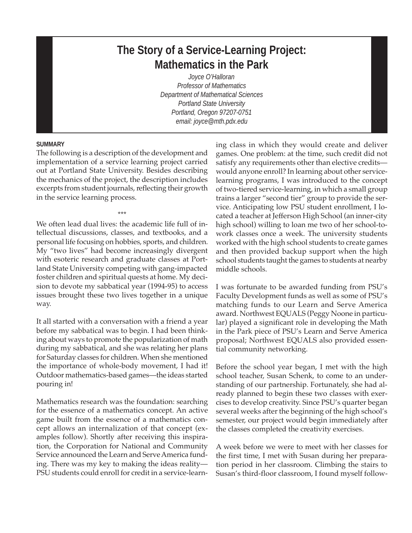## **The Story of a Service-Learning Project: Mathematics in the Park**

*Joyce O'Halloran Professor of Mathematics Department of Mathematical Sciences Portland State University Portland, Oregon 97207-0751 email: joyce@mth.pdx.edu*

#### **SUMMARY**

The following is a description of the development and implementation of a service learning project carried out at Portland State University. Besides describing the mechanics of the project, the description includes excerpts from student journals, reflecting their growth in the service learning process.

\*\*\* We often lead dual lives: the academic life full of intellectual discussions, classes, and textbooks, and a personal life focusing on hobbies, sports, and children. My "two lives" had become increasingly divergent with esoteric research and graduate classes at Portland State University competing with gang-impacted foster children and spiritual quests at home. My decision to devote my sabbatical year (1994-95) to access issues brought these two lives together in a unique way.

It all started with a conversation with a friend a year before my sabbatical was to begin. I had been thinking about ways to promote the popularization of math during my sabbatical, and she was relating her plans for Saturday classes for children. When she mentioned the importance of whole-body movement, I had it! Outdoor mathematics-based games—the ideas started pouring in!

Mathematics research was the foundation: searching for the essence of a mathematics concept. An active game built from the essence of a mathematics concept allows an internalization of that concept (examples follow). Shortly after receiving this inspiration, the Corporation for National and Community Service announced the Learn and Serve America funding. There was my key to making the ideas reality— PSU students could enroll for credit in a service-learning class in which they would create and deliver games. One problem: at the time, such credit did not satisfy any requirements other than elective credits would anyone enroll? In learning about other servicelearning programs, I was introduced to the concept of two-tiered service-learning, in which a small group trains a larger "second tier" group to provide the service. Anticipating low PSU student enrollment, I located a teacher at Jefferson High School (an inner-city high school) willing to loan me two of her school-towork classes once a week. The university students worked with the high school students to create games and then provided backup support when the high school students taught the games to students at nearby middle schools.

I was fortunate to be awarded funding from PSU's Faculty Development funds as well as some of PSU's matching funds to our Learn and Serve America award. Northwest EQUALS (Peggy Noone in particular) played a significant role in developing the Math in the Park piece of PSU's Learn and Serve America proposal; Northwest EQUALS also provided essential community networking.

Before the school year began, I met with the high school teacher, Susan Schenk, to come to an understanding of our partnership. Fortunately, she had already planned to begin these two classes with exercises to develop creativity. Since PSU's quarter began several weeks after the beginning of the high school's semester, our project would begin immediately after the classes completed the creativity exercises.

A week before we were to meet with her classes for the first time, I met with Susan during her preparation period in her classroom. Climbing the stairs to Susan's third-floor classroom, I found myself follow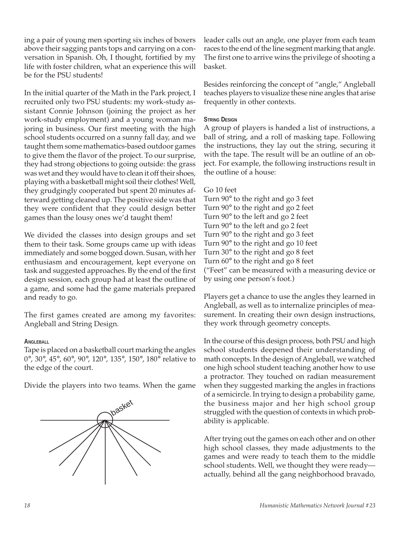ing a pair of young men sporting six inches of boxers above their sagging pants tops and carrying on a conversation in Spanish. Oh, I thought, fortified by my life with foster children, what an experience this will be for the PSU students!

In the initial quarter of the Math in the Park project, I recruited only two PSU students: my work-study assistant Connie Johnson (joining the project as her work-study employment) and a young woman majoring in business. Our first meeting with the high school students occurred on a sunny fall day, and we taught them some mathematics-based outdoor games to give them the flavor of the project. To our surprise, they had strong objections to going outside: the grass was wet and they would have to clean it off their shoes, playing with a basketball might soil their clothes! Well, they grudgingly cooperated but spent 20 minutes afterward getting cleaned up. The positive side was that they were confident that they could design better games than the lousy ones we'd taught them!

We divided the classes into design groups and set them to their task. Some groups came up with ideas immediately and some bogged down. Susan, with her enthusiasm and encouragement, kept everyone on task and suggested approaches. By the end of the first design session, each group had at least the outline of a game, and some had the game materials prepared and ready to go.

The first games created are among my favorites: Angleball and String Design.

#### **ANGLEBALL**

Tape is placed on a basketball court marking the angles 0°, 30°, 45°, 60°, 90°, 120°, 135°, 150°, 180° relative to the edge of the court.

Divide the players into two teams. When the game



leader calls out an angle, one player from each team races to the end of the line segment marking that angle. The first one to arrive wins the privilege of shooting a basket.

Besides reinforcing the concept of "angle," Angleball teaches players to visualize these nine angles that arise frequently in other contexts.

#### **STRING DESIGN**

A group of players is handed a list of instructions, a ball of string, and a roll of masking tape. Following the instructions, they lay out the string, securing it with the tape. The result will be an outline of an object. For example, the following instructions result in the outline of a house:

#### Go 10 feet

Turn 90° to the right and go 3 feet Turn 90° to the right and go 2 feet Turn 90° to the left and go 2 feet Turn 90° to the left and go 2 feet Turn 90° to the right and go 3 feet Turn 90° to the right and go 10 feet Turn 30° to the right and go 8 feet Turn 60° to the right and go 8 feet ("Feet" can be measured with a measuring device or by using one person's foot.)

Players get a chance to use the angles they learned in Angleball, as well as to internalize principles of measurement. In creating their own design instructions, they work through geometry concepts.

In the course of this design process, both PSU and high school students deepened their understanding of math concepts. In the design of Angleball, we watched one high school student teaching another how to use a protractor. They touched on radian measurement when they suggested marking the angles in fractions of a semicircle. In trying to design a probability game, the business major and her high school group struggled with the question of contexts in which probability is applicable.

After trying out the games on each other and on other high school classes, they made adjustments to the games and were ready to teach them to the middle school students. Well, we thought they were ready actually, behind all the gang neighborhood bravado,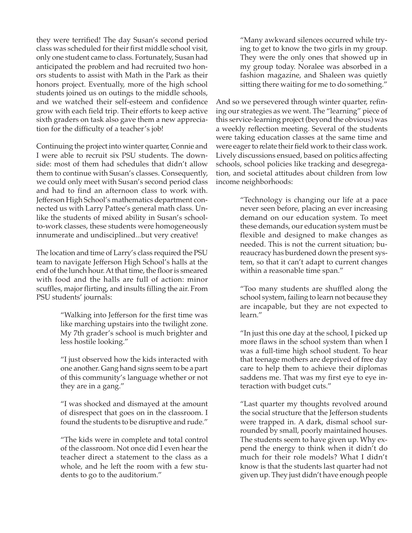they were terrified! The day Susan's second period class was scheduled for their first middle school visit, only one student came to class. Fortunately, Susan had anticipated the problem and had recruited two honors students to assist with Math in the Park as their honors project. Eventually, more of the high school students joined us on outings to the middle schools, and we watched their self-esteem and confidence grow with each field trip. Their efforts to keep active sixth graders on task also gave them a new appreciation for the difficulty of a teacher's job!

Continuing the project into winter quarter, Connie and I were able to recruit six PSU students. The downside: most of them had schedules that didn't allow them to continue with Susan's classes. Consequently, we could only meet with Susan's second period class and had to find an afternoon class to work with. Jefferson High School's mathematics department connected us with Larry Pattee's general math class. Unlike the students of mixed ability in Susan's schoolto-work classes, these students were homogeneously innumerate and undisciplined...but very creative!

The location and time of Larry's class required the PSU team to navigate Jefferson High School's halls at the end of the lunch hour. At that time, the floor is smeared with food and the halls are full of action: minor scuffles, major flirting, and insults filling the air. From PSU students' journals:

> "Walking into Jefferson for the first time was like marching upstairs into the twilight zone. My 7th grader's school is much brighter and less hostile looking."

> "I just observed how the kids interacted with one another. Gang hand signs seem to be a part of this community's language whether or not they are in a gang."

> "I was shocked and dismayed at the amount of disrespect that goes on in the classroom. I found the students to be disruptive and rude."

> "The kids were in complete and total control of the classroom. Not once did I even hear the teacher direct a statement to the class as a whole, and he left the room with a few students to go to the auditorium."

"Many awkward silences occurred while trying to get to know the two girls in my group. They were the only ones that showed up in my group today. Noralee was absorbed in a fashion magazine, and Shaleen was quietly sitting there waiting for me to do something."

And so we persevered through winter quarter, refining our strategies as we went. The "learning" piece of this service-learning project (beyond the obvious) was a weekly reflection meeting. Several of the students were taking education classes at the same time and were eager to relate their field work to their class work. Lively discussions ensued, based on politics affecting schools, school policies like tracking and desegregation, and societal attitudes about children from low income neighborhoods:

> "Technology is changing our life at a pace never seen before, placing an ever increasing demand on our education system. To meet these demands, our education system must be flexible and designed to make changes as needed. This is not the current situation; bureaucracy has burdened down the present system, so that it can't adapt to current changes within a reasonable time span."

> "Too many students are shuffled along the school system, failing to learn not because they are incapable, but they are not expected to learn."

> "In just this one day at the school, I picked up more flaws in the school system than when I was a full-time high school student. To hear that teenage mothers are deprived of free day care to help them to achieve their diplomas saddens me. That was my first eye to eye interaction with budget cuts."

> "Last quarter my thoughts revolved around the social structure that the Jefferson students were trapped in. A dark, dismal school surrounded by small, poorly maintained houses. The students seem to have given up. Why expend the energy to think when it didn't do much for their role models? What I didn't know is that the students last quarter had not given up. They just didn't have enough people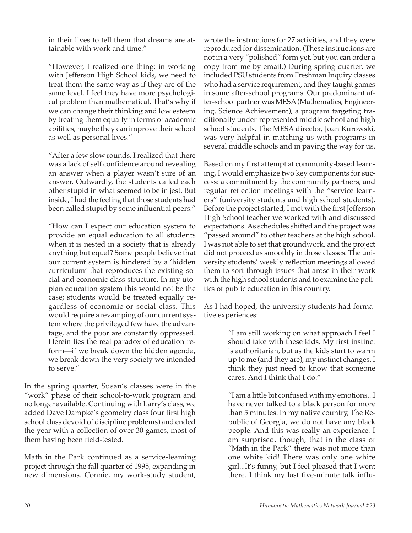in their lives to tell them that dreams are attainable with work and time."

"However, I realized one thing: in working with Jefferson High School kids, we need to treat them the same way as if they are of the same level. I feel they have more psychological problem than mathematical. That's why if we can change their thinking and low esteem by treating them equally in terms of academic abilities, maybe they can improve their school as well as personal lives."

"After a few slow rounds, I realized that there was a lack of self confidence around revealing an answer when a player wasn't sure of an answer. Outwardly, the students called each other stupid in what seemed to be in jest. But inside, I had the feeling that those students had been called stupid by some influential peers."

"How can I expect our education system to provide an equal education to all students when it is nested in a society that is already anything but equal? Some people believe that our current system is hindered by a 'hidden curriculum' that reproduces the existing social and economic class structure. In my utopian education system this would not be the case; students would be treated equally regardless of economic or social class. This would require a revamping of our current system where the privileged few have the advantage, and the poor are constantly oppressed. Herein lies the real paradox of education reform—if we break down the hidden agenda, we break down the very society we intended to serve."

In the spring quarter, Susan's classes were in the "work" phase of their school-to-work program and no longer available. Continuing with Larry's class, we added Dave Dampke's geometry class (our first high school class devoid of discipline problems) and ended the year with a collection of over 30 games, most of them having been field-tested.

Math in the Park continued as a service-leaming project through the fall quarter of 1995, expanding in new dimensions. Connie, my work-study student,

wrote the instructions for 27 activities, and they were reproduced for dissemination. (These instructions are not in a very "polished" form yet, but you can order a copy from me by email.) During spring quarter, we included PSU students from Freshman Inquiry classes who had a service requirement, and they taught games in some after-school programs. Our predominant after-school partner was MESA (Mathematics, Engineering, Science Achievement), a program targeting traditionally under-represented middle school and high school students. The MESA director, Joan Kurowski, was very helpful in matching us with programs in several middle schools and in paving the way for us.

Based on my first attempt at community-based learning, I would emphasize two key components for success: a commitment by the community partners, and regular reflection meetings with the "service learners" (university students and high school students). Before the project started, I met with the first Jefferson High School teacher we worked with and discussed expectations. As schedules shifted and the project was "passed around" to other teachers at the high school, I was not able to set that groundwork, and the project did not proceed as smoothly in those classes. The university students' weekly reflection meetings allowed them to sort through issues that arose in their work with the high school students and to examine the politics of public education in this country.

As I had hoped, the university students had formative experiences:

> "I am still working on what approach I feel I should take with these kids. My first instinct is authoritarian, but as the kids start to warm up to me (and they are), my instinct changes. I think they just need to know that someone cares. And I think that I do."

> "I am a little bit confused with my emotions...I have never talked to a black person for more than 5 minutes. In my native country, The Republic of Georgia, we do not have any black people. And this was really an experience. I am surprised, though, that in the class of "Math in the Park" there was not more than one white kid! There was only one white girl...It's funny, but I feel pleased that I went there. I think my last five-minute talk influ-